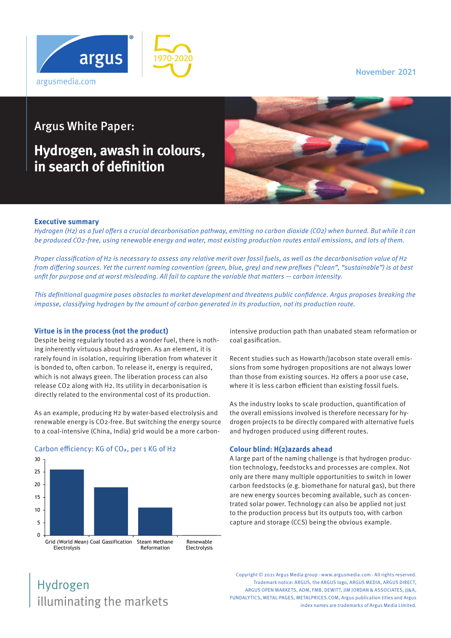**November 2021**



## Argus White Paper:

# **Hydrogen, awash in colours, in search of definition**



### **Executive summary**

Hydrogen (H2) as a fuel offers a crucial decarbonisation pathway, emitting no carbon dioxide (CO2) when burned. But while it can be produced CO2-free, using renewable energy and water, most existing production routes entail emissions, and lots of them.

Proper classification of H2 is necessary to assess any relative merit over fossil fuels, as well as the decarbonisation value of H2 from differing sources. Yet the current naming convention (green, blue, grey) and new prefixes ("clean", "sustainable") is at best unfit for purpose and at worst misleading. All fail to capture the variable that matters — carbon intensity.

This definitional quagmire poses obstacles to market development and threatens public confidence. Argus proposes breaking the impasse, classifying hydrogen by the amount of carbon generated in its production, not its production route.

### **Virtue is in the process (not the product)**

Despite being regularly touted as a wonder fuel, there is nothing inherently virtuous about hydrogen. As an element, it is rarely found in isolation, requiring liberation from whatever it is bonded to, often carbon. To release it, energy is required, which is not always green. The liberation process can also release CO2 along with H2. Its utility in decarbonisation is directly related to the environmental cost of its production.

As an example, producing H2 by water-based electrolysis and renewable energy is CO2-free. But switching the energy source to a coal-intensive (China, India) grid would be a more carbon-



### Carbon efficiency: KG of CO**2**, per 1 KG of H2

intensive production path than unabated steam reformation or coal gasification.

Recent studies such as Howarth/Jacobson state overall emissions from some hydrogen propositions are not always lower than those from existing sources. H2 offers a poor use case, where it is less carbon efficient than existing fossil fuels.

As the industry looks to scale production, quantification of the overall emissions involved is therefore necessary for hydrogen projects to be directly compared with alternative fuels and hydrogen produced using different routes.

#### **Colour blind: H(2)azards ahead**

A large part of the naming challenge is that hydrogen production technology, feedstocks and processes are complex. Not only are there many multiple opportunities to switch in lower carbon feedstocks (e.g. biomethane for natural gas), but there are new energy sources becoming available, such as concentrated solar power. Technology can also be applied not just to the production process but its outputs too, with carbon capture and storage (CCS) being the obvious example.

## illuminating the markets Hydrogen

Copyright © 2021 Argus Media group - www.argusmedia.com - All rights reserved. Trademark notice: ARGUS, the ARGUS logo, ARGUS MEDIA, ARGUS DIRECT, ARGUS OPEN MARKETS, AOM, FMB, DEWITT, IIM JORDAN & ASSOCIATES, II&A, FUNDALYTICS, METAL-PAGES, METALPRICES.COM, Argus publication titles and Argus index names are trademarks of Argus Media Limited.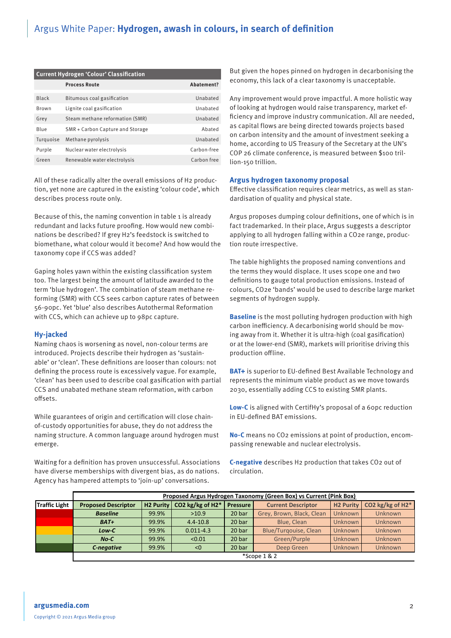### Argus White Paper: **Hydrogen, awash in colours, in search of definition**

| <b>Current Hydrogen 'Colour' Classification</b> |                                  |                 |  |  |  |  |  |  |
|-------------------------------------------------|----------------------------------|-----------------|--|--|--|--|--|--|
|                                                 | <b>Process Route</b>             | Abatement?      |  |  |  |  |  |  |
| Black                                           | Bitumous coal gasification       | <b>Unabated</b> |  |  |  |  |  |  |
| Brown                                           | Lignite coal gasification        | <b>Unabated</b> |  |  |  |  |  |  |
| Grey                                            | Steam methane reformation (SMR)  | <b>Unabated</b> |  |  |  |  |  |  |
| Blue                                            | SMR + Carbon Capture and Storage | Abated          |  |  |  |  |  |  |
| Turquoise                                       | Methane pyrolysis                | <b>Unabated</b> |  |  |  |  |  |  |
| Purple                                          | Nuclear water electrolysis       | Carbon-free     |  |  |  |  |  |  |
| Green                                           | Renewable water electrolysis     | Carbon free     |  |  |  |  |  |  |

All of these radically alter the overall emissions of H2 production, yet none are captured in the existing 'colour code', which describes process route only.

Because of this, the naming convention in table 1 is already redundant and lacks future proofing. How would new combinations be described? If grey H2's feedstock is switched to biomethane, what colour would it become? And how would the taxonomy cope if CCS was added?

Gaping holes yawn within the existing classification system too. The largest being the amount of latitude awarded to the term 'blue hydrogen'. The combination of steam methane reforming (SMR) with CCS sees carbon capture rates of between 56-90pc. Yet 'blue' also describes Autothermal Reformation with CCS, which can achieve up to 98pc capture.

### **Hy-jacked**

Naming chaos is worsening as novel, non-colour terms are introduced. Projects describe their hydrogen as 'sustainable' or 'clean'. These definitions are looser than colours: not defining the process route is excessively vague. For example, 'clean' has been used to describe coal gasification with partial CCS and unabated methane steam reformation, with carbon offsets.

While guarantees of origin and certification will close chainof-custody opportunities for abuse, they do not address the naming structure. A common language around hydrogen must emerge.

Waiting for a definition has proven unsuccessful. Associations have diverse memberships with divergent bias, as do nations. Agency has hampered attempts to 'join-up' conversations.

But given the hopes pinned on hydrogen in decarbonising the economy, this lack of a clear taxonomy is unacceptable.

Any improvement would prove impactful. A more holistic way of looking at hydrogen would raise transparency, market efficiency and improve industry communication. All are needed, as capital flows are being directed towards projects based on carbon intensity and the amount of investment seeking a home, according to US Treasury of the Secretary at the UN's COP 26 climate conference, is measured between \$100 trillion-150 trillion.

#### **Argus hydrogen taxonomy proposal**

Effective classification requires clear metrics, as well as standardisation of quality and physical state.

Argus proposes dumping colour definitions, one of which is in fact trademarked. In their place, Argus suggests a descriptor applying to all hydrogen falling within a CO2e range, production route irrespective.

The table highlights the proposed naming conventions and the terms they would displace. It uses scope one and two definitions to gauge total production emissions. Instead of colours, CO2e 'bands' would be used to describe large market segments of hydrogen supply.

**Baseline** is the most polluting hydrogen production with high carbon inefficiency. A decarbonising world should be moving away from it. Whether it is ultra-high (coal gasification) or at the lower-end (SMR), markets will prioritise driving this production offline.

**BAT+** is superior to EU-defined Best Available Technology and represents the minimum viable product as we move towards 2030, essentially adding CCS to existing SMR plants.

**Low-C** is aligned with CertifHy's proposal of a 60pc reduction in EU-defined BAT emissions.

**No-C** means no CO2 emissions at point of production, encompassing renewable and nuclear electrolysis.

**C-negative** describes H2 production that takes CO2 out of circulation.

|                      | Proposed Argus Hydrogen Taxonomy (Green Box) vs Current (Pink Box) |                       |                  |                 |                              |                  |                  |  |
|----------------------|--------------------------------------------------------------------|-----------------------|------------------|-----------------|------------------------------|------------------|------------------|--|
| <b>Traffic Light</b> | <b>Proposed Descriptor</b>                                         | H <sub>2</sub> Purity | CO2 kg/kg of H2* | <b>Pressure</b> | <b>Current Descriptor</b>    | <b>H2 Purity</b> | CO2 kg/kg of H2* |  |
|                      | <b>Baseline</b>                                                    | 99.9%                 | >10.9            | 20 bar          | Grey, Brown, Black, Clean    | <b>Unknown</b>   | Unknown          |  |
|                      | $BAT+$                                                             | 99.9%                 | $4.4 - 10.8$     | 20 bar          | Blue, Clean                  | <b>Unknown</b>   | Unknown          |  |
|                      | Low-C                                                              | 99.9%                 | $0.011 - 4.3$    | 20 bar          | <b>Blue/Turgouise, Clean</b> | Unknown          | Unknown          |  |
|                      | $No-C$                                                             | 99.9%                 | < 0.01           | 20 bar          | Green/Purple                 | <b>Unknown</b>   | Unknown          |  |
|                      | C-negative                                                         | 99.9%                 | < 0              | 20 bar          | Deep Green                   | <b>Unknown</b>   | Unknown          |  |
|                      | $*$ Scope 1 & 2                                                    |                       |                  |                 |                              |                  |                  |  |